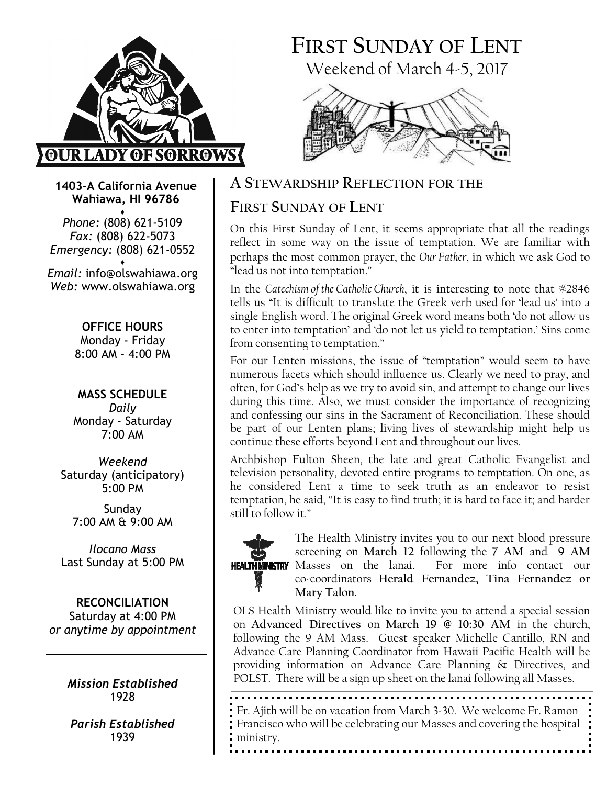

# FIRST SUNDAY OF LENT Weekend of March 4-5, 2017



1403-A California Avenue Wahiawa, HI 96786

♦ Phone: (808) 621-5109 Fax: (808) 622-5073 Emergency: (808) 621-0552 ♦

Email: info@olswahiawa.org Web: www.olswahiawa.org

> OFFICE HOURS Monday - Friday 8:00 AM - 4:00 PM

MASS SCHEDULE Daily Monday - Saturday  $7.00 \Delta M$ 

Weekend Saturday (anticipatory) 5:00 PM

Sunday 7:00 AM & 9:00 AM

Ilocano Mass Last Sunday at 5:00 PM

RECONCILIATION Saturday at 4:00 PM or anytime by appointment

> Mission Established 1928

Parish Established 1939

## A STEWARDSHIP REFLECTION FOR THE

# FIRST SUNDAY OF LENT

On this First Sunday of Lent, it seems appropriate that all the readings reflect in some way on the issue of temptation. We are familiar with perhaps the most common prayer, the Our Father, in which we ask God to "lead us not into temptation."

In the Catechism of the Catholic Church, it is interesting to note that #2846 tells us "It is difficult to translate the Greek verb used for 'lead us' into a single English word. The original Greek word means both 'do not allow us to enter into temptation' and 'do not let us yield to temptation.' Sins come from consenting to temptation."

For our Lenten missions, the issue of "temptation" would seem to have numerous facets which should influence us. Clearly we need to pray, and often, for God's help as we try to avoid sin, and attempt to change our lives during this time. Also, we must consider the importance of recognizing and confessing our sins in the Sacrament of Reconciliation. These should be part of our Lenten plans; living lives of stewardship might help us continue these efforts beyond Lent and throughout our lives.

Archbishop Fulton Sheen, the late and great Catholic Evangelist and television personality, devoted entire programs to temptation. On one, as he considered Lent a time to seek truth as an endeavor to resist temptation, he said, "It is easy to find truth; it is hard to face it; and harder still to follow it."



The Health Ministry invites you to our next blood pressure screening on March 12 following the 7 AM and 9 AM Masses on the lanai. For more info contact our co-coordinators Herald Fernandez, Tina Fernandez or Mary Talon.

OLS Health Ministry would like to invite you to attend a special session on Advanced Directives on March 19 @ 10:30 AM in the church, following the 9 AM Mass. Guest speaker Michelle Cantillo, RN and Advance Care Planning Coordinator from Hawaii Pacific Health will be providing information on Advance Care Planning & Directives, and POLST. There will be a sign up sheet on the lanai following all Masses.

Fr. Ajith will be on vacation from March 3-30. We welcome Fr. Ramon Francisco who will be celebrating our Masses and covering the hospital ministry.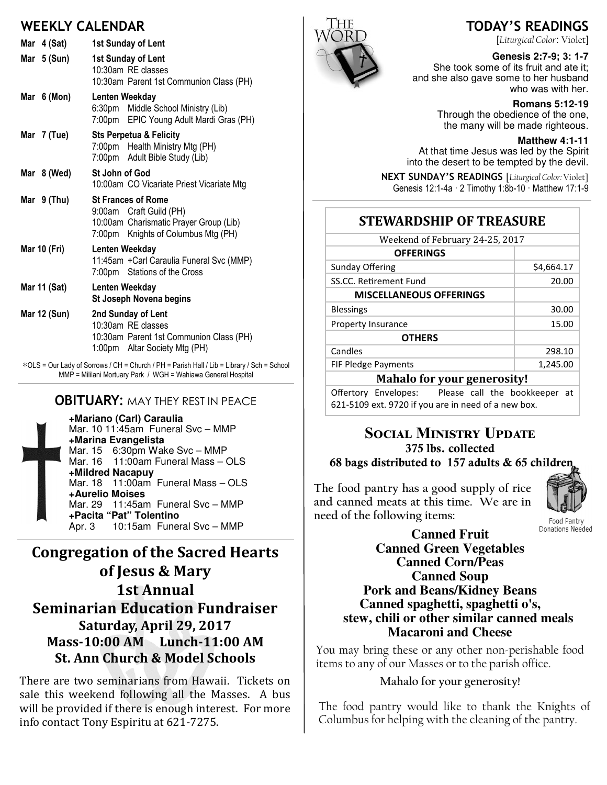## WEEKLY CALENDAR

| Mar 4 (Sat)   | 1st Sunday of Lent                                                                                                                    |
|---------------|---------------------------------------------------------------------------------------------------------------------------------------|
| Mar $5(Sun)$  | 1st Sunday of Lent<br>10:30am RE classes<br>10:30am Parent 1st Communion Class (PH)                                                   |
| Mar $6(Mon)$  | Lenten Weekday<br>6:30pm Middle School Ministry (Lib)<br>7:00pm EPIC Young Adult Mardi Gras (PH)                                      |
| Mar 7 (Tue)   | <b>Sts Perpetua &amp; Felicity</b><br>7:00pm Health Ministry Mtg (PH)<br>7:00pm Adult Bible Study (Lib)                               |
| Mar 8 (Wed)   | St John of God<br>10:00am CO Vicariate Priest Vicariate Mtg                                                                           |
| Mar $9$ (Thu) | <b>St Frances of Rome</b><br>9:00am Craft Guild (PH)<br>10:00am Charismatic Prayer Group (Lib)<br>7:00pm Knights of Columbus Mtg (PH) |
| Mar 10 (Fri)  | Lenten Weekday<br>11:45am + Carl Caraulia Funeral Svc (MMP)<br>7:00pm Stations of the Cross                                           |
| Mar 11 (Sat)  | Lenten Weekday<br>St Joseph Novena begins                                                                                             |
| Mar 12 (Sun)  | 2nd Sunday of Lent<br>10:30am RE classes<br>10:30am Parent 1st Communion Class (PH)<br>1:00pm Altar Society Mtg (PH)                  |

∗OLS = Our Lady of Sorrows / CH = Church / PH = Parish Hall / Lib = Library / Sch = School MMP = Mililani Mortuary Park / WGH = Wahiawa General Hospital

## **OBITUARY: MAY THEY REST IN PEACE**

**+Mariano (Carl) Caraulia** Mar. 10 11:45am Funeral Svc – MMP **+Marina Evangelista** Mar. 15 6:30pm Wake Svc - MMP Mar. 16 11:00am Funeral Mass - OLS **+Mildred Nacapuy** Mar. 18 11:00am Funeral Mass – OLS **+Aurelio Moises** Mar. 29 11:45am Funeral Svc – MMP **+Pacita "Pat" Tolentino** Apr. 3 10:15am Funeral Svc – MMP

# Congregation of the Sacred Hearts of Jesus & Mary 1st Annual **Seminarian Education Fundraiser** Saturday, April 29, 2017 Mass-10:00 AM Lunch-11:00 AM St. Ann Church & Model Schools

There are two seminarians from Hawaii. Tickets on sale this weekend following all the Masses. A bus will be provided if there is enough interest. For more info contact Tony Espiritu at 621-7275.



## TODAY'S READINGS

[Liturgical Color: Violet]

#### **Genesis 2:7-**9; 3: 1**-7**

She took some of its fruit and ate it; and she also gave some to her husband who was with her.

**Romans 5:12-19**

Through the obedience of the one, the many will be made righteous.

**Matthew 4:1-11**

At that time Jesus was led by the Spirit into the desert to be tempted by the devil.

NEXT SUNDAY'S READINGS [Liturgical Color: Violet] Genesis 12:1-4a · 2 Timothy 1:8b-10 · Matthew 17:1-9

## STEWARDSHIP OF TREASURE

| Weekend of February 24-25, 2017    |            |  |
|------------------------------------|------------|--|
| <b>OFFERINGS</b>                   |            |  |
| Sunday Offering                    | \$4,664.17 |  |
| SS.CC. Retirement Fund             | 20.00      |  |
| <b>MISCELLANEOUS OFFERINGS</b>     |            |  |
| <b>Blessings</b>                   | 30.00      |  |
| Property Insurance                 | 15.00      |  |
| <b>OTHERS</b>                      |            |  |
| Candles                            | 298.10     |  |
| <b>FIF Pledge Payments</b>         | 1,245.00   |  |
| <b>Mahalo for your generosity!</b> |            |  |
|                                    |            |  |

Offertory Envelopes: Please call the bookkeeper at 621-5109 ext. 9720 if you are in need of a new box.

# SOCIAL MINISTRY UPDATE 375 lbs. collected

## 68 bags distributed to 157 adults & 65 children

The food pantry has a good supply of rice and canned meats at this time. We are in need of the following items:



Donations Needed **Canned Fruit Canned Green Vegetables Canned Corn/Peas Canned Soup Pork and Beans/Kidney Beans Canned spaghetti, spaghetti o's, stew, chili or other similar canned meals Macaroni and Cheese** 

You may bring these or any other non-perishable food items to any of our Masses or to the parish office.

### Mahalo for your generosity!

The food pantry would like to thank the Knights of Columbus for helping with the cleaning of the pantry.